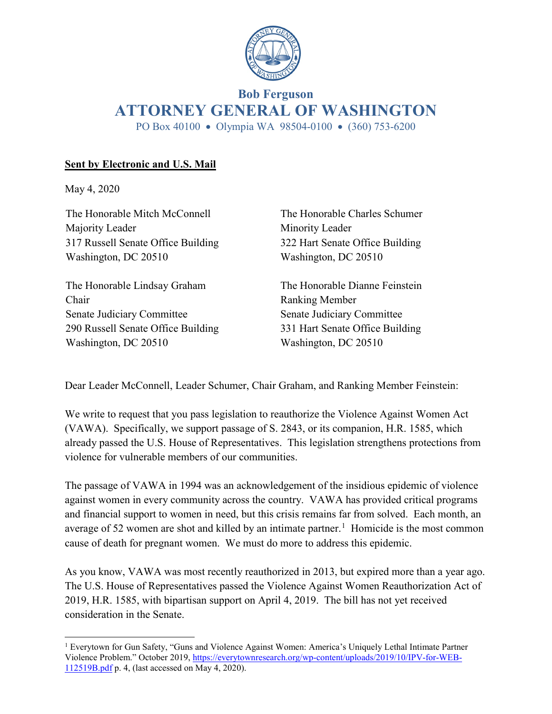

# **Bob Ferguson ATTORNEY GENERAL OF WASHINGTON** PO Box 40100 • Olympia WA 98504-0100 • (360) 753-6200

# **Sent by Electronic and U.S. Mail**

May 4, 2020

The Honorable Mitch McConnell Majority Leader 317 Russell Senate Office Building Washington, DC 20510

The Honorable Lindsay Graham Chair Senate Judiciary Committee 290 Russell Senate Office Building Washington, DC 20510

The Honorable Charles Schumer Minority Leader 322 Hart Senate Office Building Washington, DC 20510

The Honorable Dianne Feinstein Ranking Member Senate Judiciary Committee 331 Hart Senate Office Building Washington, DC 20510

Dear Leader McConnell, Leader Schumer, Chair Graham, and Ranking Member Feinstein:

We write to request that you pass legislation to reauthorize the Violence Against Women Act (VAWA). Specifically, we support passage of S. 2843, or its companion, H.R. 1585, which already passed the U.S. House of Representatives. This legislation strengthens protections from violence for vulnerable members of our communities.

The passage of VAWA in 1994 was an acknowledgement of the insidious epidemic of violence against women in every community across the country. VAWA has provided critical programs and financial support to women in need, but this crisis remains far from solved. Each month, an average of 52 women are shot and killed by an intimate partner.<sup>[1](#page-0-0)</sup> Homicide is the most common cause of death for pregnant women. We must do more to address this epidemic.

As you know, VAWA was most recently reauthorized in 2013, but expired more than a year ago. The U.S. House of Representatives passed the Violence Against Women Reauthorization Act of 2019, H.R. 1585, with bipartisan support on April 4, 2019. The bill has not yet received consideration in the Senate.

<span id="page-0-0"></span> <sup>1</sup> Everytown for Gun Safety, "Guns and Violence Against Women: America's Uniquely Lethal Intimate Partner Violence Problem." October 2019, [https://everytownresearch.org/wp-content/uploads/2019/10/IPV-for-WEB-](https://everytownresearch.org/wp-content/uploads/2019/10/IPV-for-WEB-112519B.pdf)[112519B.pdf](https://everytownresearch.org/wp-content/uploads/2019/10/IPV-for-WEB-112519B.pdf) p. 4, (last accessed on May 4, 2020).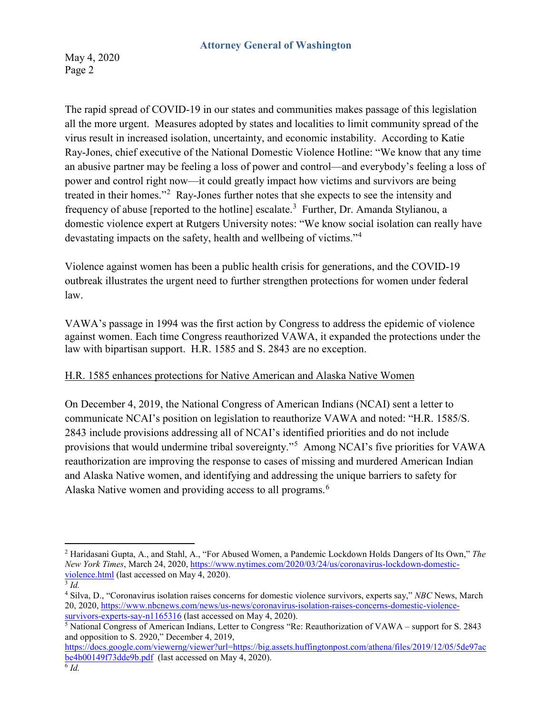May 4, 2020 Page 2

The rapid spread of COVID-19 in our states and communities makes passage of this legislation all the more urgent. Measures adopted by states and localities to limit community spread of the virus result in increased isolation, uncertainty, and economic instability. According to Katie Ray-Jones, chief executive of the National Domestic Violence Hotline: "We know that any time an abusive partner may be feeling a loss of power and control—and everybody's feeling a loss of power and control right now—it could greatly impact how victims and survivors are being treated in their homes."<sup>[2](#page-1-0)</sup> Ray-Jones further notes that she expects to see the intensity and frequency of abuse [reported to the hotline] escalate.<sup>[3](#page-1-1)</sup> Further, Dr. Amanda Stylianou, a domestic violence expert at Rutgers University notes: "We know social isolation can really have devastating impacts on the safety, health and wellbeing of victims."[4](#page-1-2)

Violence against women has been a public health crisis for generations, and the COVID-19 outbreak illustrates the urgent need to further strengthen protections for women under federal law.

VAWA's passage in 1994 was the first action by Congress to address the epidemic of violence against women. Each time Congress reauthorized VAWA, it expanded the protections under the law with bipartisan support. H.R. 1585 and S. 2843 are no exception.

# H.R. 1585 enhances protections for Native American and Alaska Native Women

On December 4, 2019, the National Congress of American Indians (NCAI) sent a letter to communicate NCAI's position on legislation to reauthorize VAWA and noted: "H.R. 1585/S. 2843 include provisions addressing all of NCAI's identified priorities and do not include provisions that would undermine tribal sovereignty."[5](#page-1-3) Among NCAI's five priorities for VAWA reauthorization are improving the response to cases of missing and murdered American Indian and Alaska Native women, and identifying and addressing the unique barriers to safety for Alaska Native women and providing access to all programs.<sup>[6](#page-1-4)</sup>

<span id="page-1-0"></span> <sup>2</sup> Haridasani Gupta, A., and Stahl, A., "For Abused Women, a Pandemic Lockdown Holds Dangers of Its Own," *The New York Times*, March 24, 2020, [https://www.nytimes.com/2020/03/24/us/coronavirus-lockdown-domestic](https://www.nytimes.com/2020/03/24/us/coronavirus-lockdown-domestic-violence.html)[violence.html](https://www.nytimes.com/2020/03/24/us/coronavirus-lockdown-domestic-violence.html) (last accessed on May 4, 2020).

<span id="page-1-1"></span><sup>3</sup> *Id.*

<span id="page-1-2"></span><sup>4</sup> Silva, D., "Coronavirus isolation raises concerns for domestic violence survivors, experts say," *NBC* News, March 20, 2020, [https://www.nbcnews.com/news/us-news/coronavirus-isolation-raises-concerns-domestic-violence](https://www.nbcnews.com/news/us-news/coronavirus-isolation-raises-concerns-domestic-violence-survivors-experts-say-n1165316)[survivors-experts-say-n1165316](https://www.nbcnews.com/news/us-news/coronavirus-isolation-raises-concerns-domestic-violence-survivors-experts-say-n1165316) (last accessed on May 4, 2020).

<span id="page-1-3"></span><sup>5</sup> National Congress of American Indians, Letter to Congress "Re: Reauthorization of VAWA – support for S. 2843 and opposition to S. 2920," December 4, 2019,

<span id="page-1-4"></span>[https://docs.google.com/viewerng/viewer?url=https://big.assets.huffingtonpost.com/athena/files/2019/12/05/5de97ac](https://docs.google.com/viewerng/viewer?url=https://big.assets.huffingtonpost.com/athena/files/2019/12/05/5de97acbe4b00149f73dde9b.pdf) [be4b00149f73dde9b.pdf](https://docs.google.com/viewerng/viewer?url=https://big.assets.huffingtonpost.com/athena/files/2019/12/05/5de97acbe4b00149f73dde9b.pdf) (last accessed on May 4, 2020).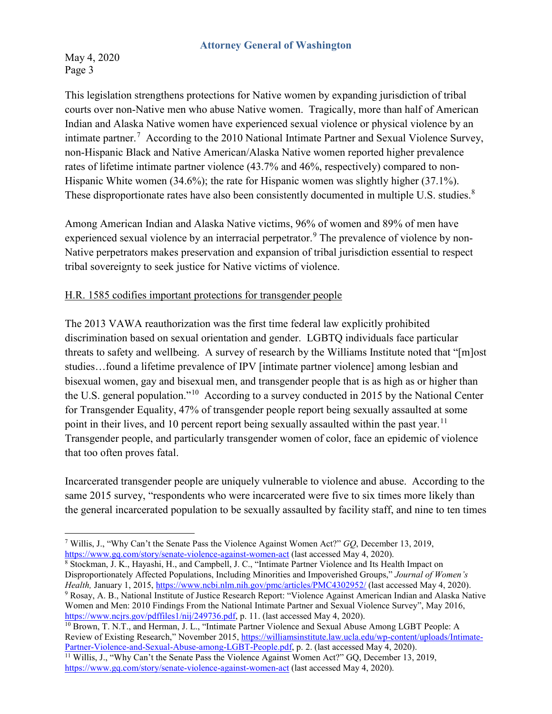May 4, 2020 Page 3

This legislation strengthens protections for Native women by expanding jurisdiction of tribal courts over non-Native men who abuse Native women. Tragically, more than half of American Indian and Alaska Native women have experienced sexual violence or physical violence by an intimate partner.<sup>[7](#page-2-0)</sup> According to the 2010 National Intimate Partner and Sexual Violence Survey, non-Hispanic Black and Native American/Alaska Native women reported higher prevalence rates of lifetime intimate partner violence (43.7% and 46%, respectively) compared to non-Hispanic White women (34.6%); the rate for Hispanic women was slightly higher (37.1%). These disproportionate rates have also been consistently documented in multiple U.S. studies.<sup>[8](#page-2-1)</sup>

Among American Indian and Alaska Native victims, 96% of women and 89% of men have experienced sexual violence by an interracial perpetrator.<sup>[9](#page-2-2)</sup> The prevalence of violence by non-Native perpetrators makes preservation and expansion of tribal jurisdiction essential to respect tribal sovereignty to seek justice for Native victims of violence.

# H.R. 1585 codifies important protections for transgender people

The 2013 VAWA reauthorization was the first time federal law explicitly prohibited discrimination based on sexual orientation and gender. LGBTQ individuals face particular threats to safety and wellbeing. A survey of research by the Williams Institute noted that "[m]ost studies…found a lifetime prevalence of IPV [intimate partner violence] among lesbian and bisexual women, gay and bisexual men, and transgender people that is as high as or higher than the U.S. general population."[10](#page-2-3) According to a survey conducted in 2015 by the National Center for Transgender Equality, 47% of transgender people report being sexually assaulted at some point in their lives, and 10 percent report being sexually assaulted within the past year.<sup>11</sup> Transgender people, and particularly transgender women of color, face an epidemic of violence that too often proves fatal.

Incarcerated transgender people are uniquely vulnerable to violence and abuse. According to the same 2015 survey, "respondents who were incarcerated were five to six times more likely than the general incarcerated population to be sexually assaulted by facility staff, and nine to ten times

<span id="page-2-1"></span><sup>8</sup> Stockman, J. K., Hayashi, H., and Campbell, J. C., "Intimate Partner Violence and Its Health Impact on Disproportionately Affected Populations, Including Minorities and Impoverished Groups," *Journal of Women's Health,* January 1, 2015, <https://www.ncbi.nlm.nih.gov/pmc/articles/PMC4302952/> (last accessed May 4, 2020). <sup>9</sup> Rosay, A. B., National Institute of Justice Research Report: "Violence Against American Indian and Alaska Native

<span id="page-2-2"></span>Women and Men: 2010 Findings From the National Intimate Partner and Sexual Violence Survey", May 2016, [https://www.ncjrs.gov/pdffiles1/nij/249736.pdf,](https://www.ncjrs.gov/pdffiles1/nij/249736.pdf) p. 11. (last accessed May 4, 2020).

<span id="page-2-0"></span> <sup>7</sup> Willis, J., "Why Can't the Senate Pass the Violence Against Women Act?" *GQ*, December 13, 2019, <https://www.gq.com/story/senate-violence-against-women-act> (last accessed May 4, 2020).

<span id="page-2-3"></span><sup>10</sup> Brown, T. N.T., and Herman, J. L., "Intimate Partner Violence and Sexual Abuse Among LGBT People: A Review of Existing Research," November 2015[, https://williamsinstitute.law.ucla.edu/wp-content/uploads/Intimate-](https://williamsinstitute.law.ucla.edu/wp-content/uploads/Intimate-Partner-Violence-and-Sexual-Abuse-among-LGBT-People.pdf)[Partner-Violence-and-Sexual-Abuse-among-LGBT-People.pdf,](https://williamsinstitute.law.ucla.edu/wp-content/uploads/Intimate-Partner-Violence-and-Sexual-Abuse-among-LGBT-People.pdf) p. 2. (last accessed May 4, 2020).

<span id="page-2-4"></span><sup>&</sup>lt;sup>11</sup> Willis, J., "Why Can't the Senate Pass the Violence Against Women Act?" GQ, December 13, 2019, <https://www.gq.com/story/senate-violence-against-women-act> (last accessed May 4, 2020).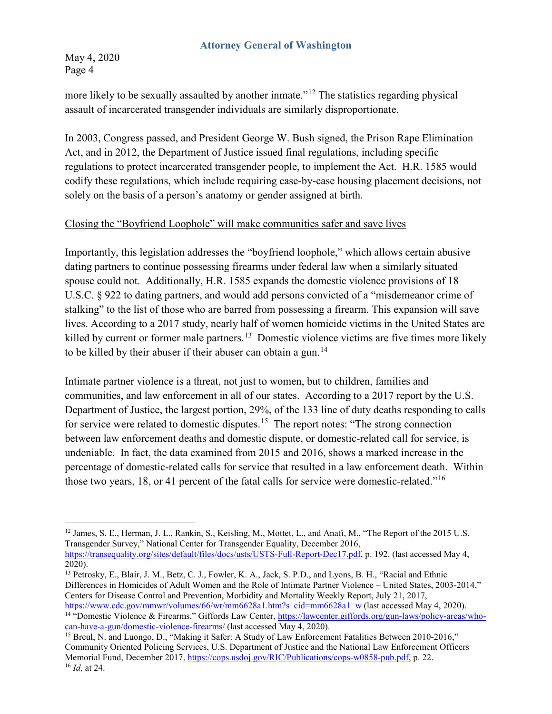May 4, 2020 Page 4

more likely to be sexually assaulted by another inmate."<sup>[12](#page-3-0)</sup> The statistics regarding physical assault of incarcerated transgender individuals are similarly disproportionate.

In 2003, Congress passed, and President George W. Bush signed, the Prison Rape Elimination Act, and in 2012, the Department of Justice issued final regulations, including specific regulations to protect incarcerated transgender people, to implement the Act. H.R. 1585 would codify these regulations, which include requiring case-by-case housing placement decisions, not solely on the basis of a person's anatomy or gender assigned at birth.

### Closing the "Boyfriend Loophole" will make communities safer and save lives

Importantly, this legislation addresses the "boyfriend loophole," which allows certain abusive dating partners to continue possessing firearms under federal law when a similarly situated spouse could not. Additionally, H.R. 1585 expands the domestic violence provisions of 18 U.S.C. § 922 to dating partners, and would add persons convicted of a "misdemeanor crime of stalking" to the list of those who are barred from possessing a firearm. This expansion will save lives. According to a 2017 study, nearly half of women homicide victims in the United States are killed by current or former male partners.<sup>13</sup> Domestic violence victims are five times more likely to be killed by their abuser if their abuser can obtain a gun.<sup>[14](#page-3-2)</sup>

Intimate partner violence is a threat, not just to women, but to children, families and communities, and law enforcement in all of our states. According to a 2017 report by the U.S. Department of Justice, the largest portion, 29%, of the 133 line of duty deaths responding to calls for service were related to domestic disputes.<sup>15</sup> The report notes: "The strong connection between law enforcement deaths and domestic dispute, or domestic-related call for service, is undeniable. In fact, the data examined from 2015 and 2016, shows a marked increase in the percentage of domestic-related calls for service that resulted in a law enforcement death. Within those two years, 18, or 41 percent of the fatal calls for service were domestic-related."[16](#page-3-4)

<span id="page-3-0"></span><sup>&</sup>lt;sup>12</sup> James, S. E., Herman, J. L., Rankin, S., Keisling, M., Mottet, L., and Anafi, M., "The Report of the 2015 U.S. Transgender Survey," National Center for Transgender Equality, December 2016, [https://transequality.org/sites/default/files/docs/usts/USTS-Full-Report-Dec17.pdf,](https://transequality.org/sites/default/files/docs/usts/USTS-Full-Report-Dec17.pdf) p. 192. (last accessed May 4, 2020).

<span id="page-3-1"></span><sup>13</sup> Petrosky, E., Blair, J. M., Betz, C. J., Fowler, K. A., Jack, S. P.D., and Lyons, B. H., "Racial and Ethnic Differences in Homicides of Adult Women and the Role of Intimate Partner Violence – United States, 2003-2014," Centers for Disease Control and Prevention, Morbidity and Mortality Weekly Report, July 21, 2017, [https://www.cdc.gov/mmwr/volumes/66/wr/mm6628a1.htm?s\\_cid=mm6628a1\\_w](https://www.cdc.gov/mmwr/volumes/66/wr/mm6628a1.htm?s_cid=mm6628a1_w) (last accessed May 4, 2020).

<span id="page-3-2"></span><sup>&</sup>lt;sup>14 "</sup>Domestic Violence & Firearms," Giffords Law Center, [https://lawcenter.giffords.org/gun-laws/policy-areas/who](https://lawcenter.giffords.org/gun-laws/policy-areas/who-can-have-a-gun/domestic-violence-firearms/)[can-have-a-gun/domestic-violence-firearms/](https://lawcenter.giffords.org/gun-laws/policy-areas/who-can-have-a-gun/domestic-violence-firearms/) (last accessed May 4, 2020).

<span id="page-3-4"></span><span id="page-3-3"></span><sup>&</sup>lt;sup>15</sup> Breul, N. and Luongo, D., "Making it Safer: A Study of Law Enforcement Fatalities Between 2010-2016," Community Oriented Policing Services, U.S. Department of Justice and the National Law Enforcement Officers Memorial Fund, December 2017, [https://cops.usdoj.gov/RIC/Publications/cops-w0858-pub.pdf,](https://cops.usdoj.gov/RIC/Publications/cops-w0858-pub.pdf) p. 22. <sup>16</sup> *Id*, at 24.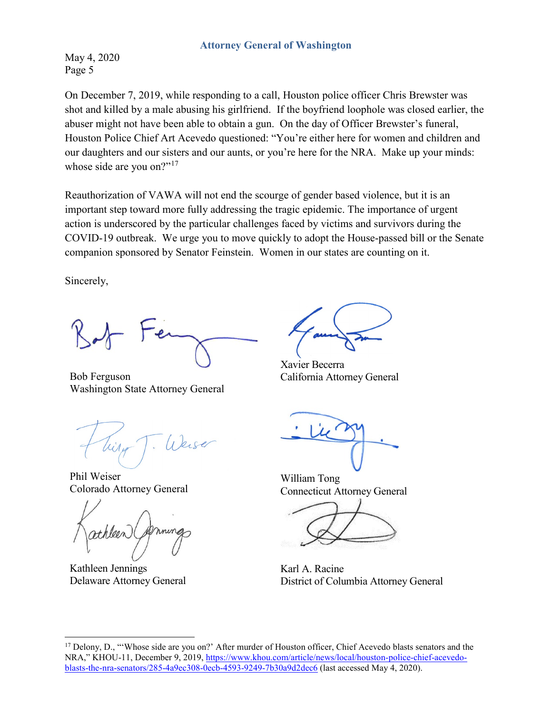May 4, 2020 Page 5

On December 7, 2019, while responding to a call, Houston police officer Chris Brewster was shot and killed by a male abusing his girlfriend. If the boyfriend loophole was closed earlier, the abuser might not have been able to obtain a gun. On the day of Officer Brewster's funeral, Houston Police Chief Art Acevedo questioned: "You're either here for women and children and our daughters and our sisters and our aunts, or you're here for the NRA. Make up your minds: whose side are you on?"<sup>[17](#page-4-0)</sup>

Reauthorization of VAWA will not end the scourge of gender based violence, but it is an important step toward more fully addressing the tragic epidemic. The importance of urgent action is underscored by the particular challenges faced by victims and survivors during the COVID-19 outbreak. We urge you to move quickly to adopt the House-passed bill or the Senate companion sponsored by Senator Feinstein. Women in our states are counting on it.

Sincerely,

Bob Ferguson Washington State Attorney General

Weise

Phil Weiser Colorado Attorney General

Kathleen Jennings Delaware Attorney General

Xavier Becerra California Attorney General

William Tong Connecticut Attorney General

Karl A. Racine District of Columbia Attorney General

<span id="page-4-0"></span><sup>&</sup>lt;sup>17</sup> Delony, D., "Whose side are you on?' After murder of Houston officer, Chief Acevedo blasts senators and the NRA," KHOU-11, December 9, 2019, [https://www.khou.com/article/news/local/houston-police-chief-acevedo](https://www.khou.com/article/news/local/houston-police-chief-acevedo-blasts-the-nra-senators/285-4a9ec308-0ecb-4593-9249-7b30a9d2dec6)[blasts-the-nra-senators/285-4a9ec308-0ecb-4593-9249-7b30a9d2dec6](https://www.khou.com/article/news/local/houston-police-chief-acevedo-blasts-the-nra-senators/285-4a9ec308-0ecb-4593-9249-7b30a9d2dec6) (last accessed May 4, 2020).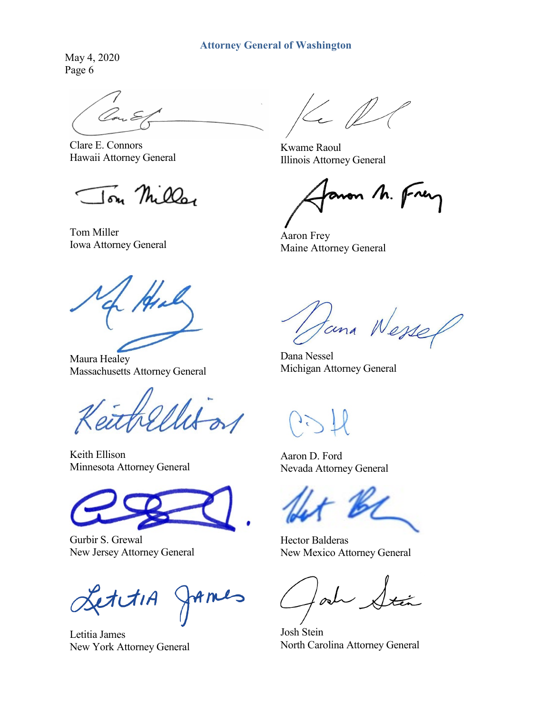May 4, 2020 Page 6

Clare E. Connors Hawaii Attorney General

Jon Miller

Tom Miller Iom Miller<br>Iowa Attorney General Archives Maine Attorney

Maura Healey Massachusetts Attorney General

Keith Ellison Minnesota Attorney General

Gurbir S. Grewal New Jersey Attorney General

etctiA AMIS

Letitia James New York Attorney General

Le P

Kwame Raoul Illinois Attorney General

anon M. Frey

Maine Attorney General

tana Wessel

Dana Nessel Michigan Attorney General

Aaron D. Ford Nevada Attorney General

Hector Balderas New Mexico Attorney General

 $\sigma$ 

Josh Stein North Carolina Attorney General